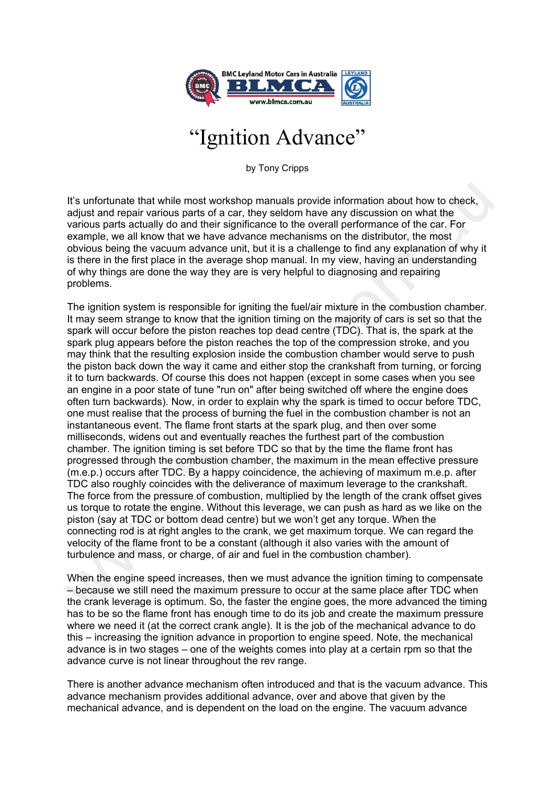

## "Ignition Advance"

by Tony Cripps

It's unfortunate that while most workshop manuals provide information about how to check, adjust and repair various parts of a car, they seldom have any discussion on what the various parts actually do and their significance to the overall performance of the car. For example, we all know that we have advance mechanisms on the distributor, the most obvious being the vacuum advance unit, but it is a challenge to find any explanation of why it is there in the first place in the average shop manual. In my view, having an understanding of why things are done the way they are is very helpful to diagnosing and repairing problems.

The ignition system is responsible for igniting the fuel/air mixture in the combustion chamber. It may seem strange to know that the ignition timing on the majority of cars is set so that the spark will occur before the piston reaches top dead centre (TDC). That is, the spark at the spark plug appears before the piston reaches the top of the compression stroke, and you may think that the resulting explosion inside the combustion chamber would serve to push the piston back down the way it came and either stop the crankshaft from turning, or forcing it to turn backwards. Of course this does not happen (except in some cases when you see an engine in a poor state of tune "run on" after being switched off where the engine does often turn backwards). Now, in order to explain why the spark is timed to occur before TDC, one must realise that the process of burning the fuel in the combustion chamber is not an instantaneous event. The flame front starts at the spark plug, and then over some milliseconds, widens out and eventually reaches the furthest part of the combustion chamber. The ignition timing is set before TDC so that by the time the flame front has progressed through the combustion chamber, the maximum in the mean effective pressure (m.e.p.) occurs after TDC. By a happy coincidence, the achieving of maximum m.e.p. after TDC also roughly coincides with the deliverance of maximum leverage to the crankshaft. The force from the pressure of combustion, multiplied by the length of the crank offset gives us torque to rotate the engine. Without this leverage, we can push as hard as we like on the piston (say at TDC or bottom dead centre) but we won't get any torque. When the connecting rod is at right angles to the crank, we get maximum torque. We can regard the velocity of the flame front to be a constant (although it also varies with the amount of turbulence and mass, or charge, of air and fuel in the combustion chamber). It's unfortunate that while most workshop manuals provide information about how to check, adjust and repair various parts of a car, they seldom have any discussion on what the parapole, wa any knows any discussion on what

When the engine speed increases, then we must advance the ignition timing to compensate – because we still need the maximum pressure to occur at the same place after TDC when the crank leverage is optimum. So, the faster the engine goes, the more advanced the timing has to be so the flame front has enough time to do its job and create the maximum pressure where we need it (at the correct crank angle). It is the job of the mechanical advance to do this – increasing the ignition advance in proportion to engine speed. Note, the mechanical advance is in two stages – one of the weights comes into play at a certain rpm so that the advance curve is not linear throughout the rev range.

There is another advance mechanism often introduced and that is the vacuum advance. This advance mechanism provides additional advance, over and above that given by the mechanical advance, and is dependent on the load on the engine. The vacuum advance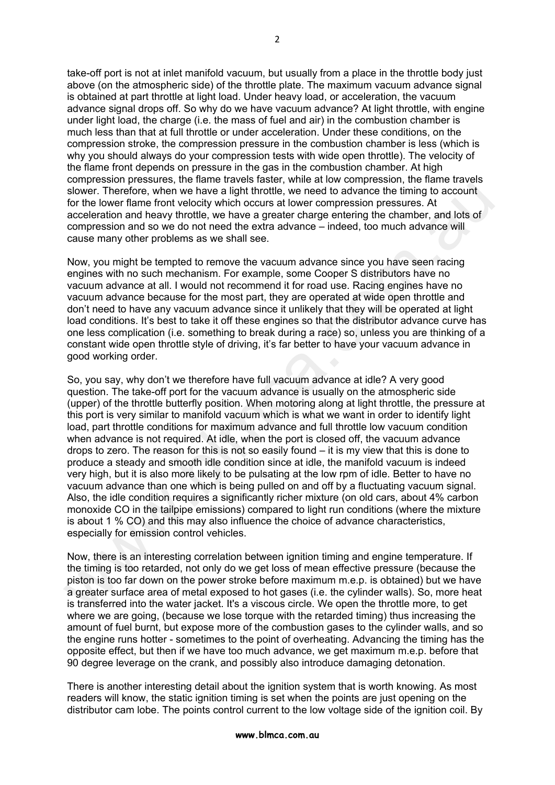take-off port is not at inlet manifold vacuum, but usually from a place in the throttle body just above (on the atmospheric side) of the throttle plate. The maximum vacuum advance signal is obtained at part throttle at light load. Under heavy load, or acceleration, the vacuum advance signal drops off. So why do we have vacuum advance? At light throttle, with engine under light load, the charge (i.e. the mass of fuel and air) in the combustion chamber is much less than that at full throttle or under acceleration. Under these conditions, on the compression stroke, the compression pressure in the combustion chamber is less (which is why you should always do your compression tests with wide open throttle). The velocity of the flame front depends on pressure in the gas in the combustion chamber. At high compression pressures, the flame travels faster, while at low compression, the flame travels slower. Therefore, when we have a light throttle, we need to advance the timing to account for the lower flame front velocity which occurs at lower compression pressures. At acceleration and heavy throttle, we have a greater charge entering the chamber, and lots of compression and so we do not need the extra advance – indeed, too much advance will cause many other problems as we shall see.

Now, you might be tempted to remove the vacuum advance since you have seen racing engines with no such mechanism. For example, some Cooper S distributors have no vacuum advance at all. I would not recommend it for road use. Racing engines have no vacuum advance because for the most part, they are operated at wide open throttle and don't need to have any vacuum advance since it unlikely that they will be operated at light load conditions. It's best to take it off these engines so that the distributor advance curve has one less complication (i.e. something to break during a race) so, unless you are thinking of a constant wide open throttle style of driving, it's far better to have your vacuum advance in good working order.

So, you say, why don't we therefore have full vacuum advance at idle? A very good question. The take-off port for the vacuum advance is usually on the atmospheric side (upper) of the throttle butterfly position. When motoring along at light throttle, the pressure at this port is very similar to manifold vacuum which is what we want in order to identify light load, part throttle conditions for maximum advance and full throttle low vacuum condition when advance is not required. At idle, when the port is closed off, the vacuum advance drops to zero. The reason for this is not so easily found – it is my view that this is done to produce a steady and smooth idle condition since at idle, the manifold vacuum is indeed very high, but it is also more likely to be pulsating at the low rpm of idle. Better to have no vacuum advance than one which is being pulled on and off by a fluctuating vacuum signal. Also, the idle condition requires a significantly richer mixture (on old cars, about 4% carbon monoxide CO in the tailpipe emissions) compared to light run conditions (where the mixture is about 1 % CO) and this may also influence the choice of advance characteristics, especially for emission control vehicles. slower. Therefore, when we have a light throttle, we need to advance the timing to account for the lower Rlane front velocity which occurs at lower compression, At exercution and have the compression and so we do and near

Now, there is an interesting correlation between ignition timing and engine temperature. If the timing is too retarded, not only do we get loss of mean effective pressure (because the piston is too far down on the power stroke before maximum m.e.p. is obtained) but we have a greater surface area of metal exposed to hot gases (i.e. the cylinder walls). So, more heat is transferred into the water jacket. It's a viscous circle. We open the throttle more, to get where we are going, (because we lose torque with the retarded timing) thus increasing the amount of fuel burnt, but expose more of the combustion gases to the cylinder walls, and so the engine runs hotter - sometimes to the point of overheating. Advancing the timing has the opposite effect, but then if we have too much advance, we get maximum m.e.p. before that 90 degree leverage on the crank, and possibly also introduce damaging detonation.

There is another interesting detail about the ignition system that is worth knowing. As most readers will know, the static ignition timing is set when the points are just opening on the distributor cam lobe. The points control current to the low voltage side of the ignition coil. By